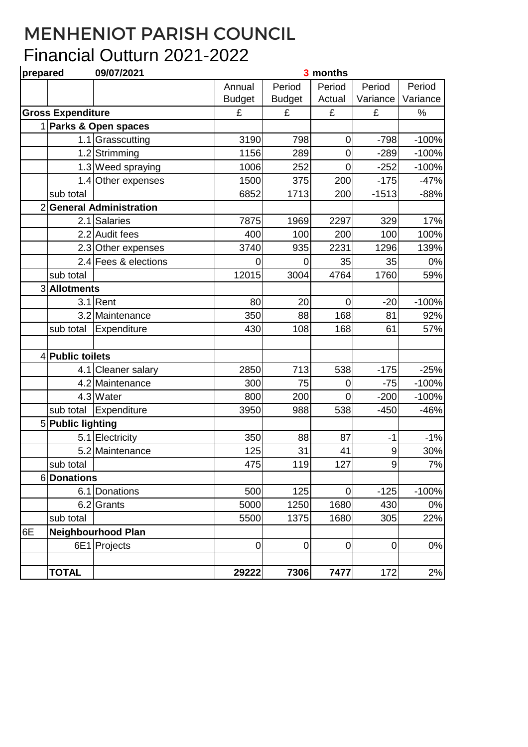## MENHENIOT PARISH COUNCIL Financial Outturn 2021-2022

| prepared                 |                       | 09/07/2021                |               |                | 3 months         |             |          |
|--------------------------|-----------------------|---------------------------|---------------|----------------|------------------|-------------|----------|
|                          |                       |                           | Annual        | Period         | Period           | Period      | Period   |
|                          |                       |                           | <b>Budget</b> | <b>Budget</b>  | Actual           | Variance    | Variance |
| <b>Gross Expenditure</b> |                       |                           | £             | £              | £                | £           | $\%$     |
|                          | 1 Parks & Open spaces |                           |               |                |                  |             |          |
|                          |                       | 1.1 Grasscutting          | 3190          | 798            | 0                | $-798$      | $-100%$  |
|                          |                       | 1.2 Strimming             | 1156          | 289            | 0                | $-289$      | $-100%$  |
|                          |                       | 1.3 Weed spraying         | 1006          | 252            | 0                | $-252$      | $-100%$  |
|                          |                       | 1.4 Other expenses        | 1500          | 375            | 200              | $-175$      | $-47%$   |
|                          | sub total             |                           | 6852          | 1713           | 200              | $-1513$     | $-88%$   |
|                          |                       | 2 General Administration  |               |                |                  |             |          |
|                          | 2.1                   | <b>Salaries</b>           | 7875          | 1969           | 2297             | 329         | 17%      |
|                          |                       | 2.2 Audit fees            | 400           | 100            | 200              | 100         | 100%     |
|                          |                       | 2.3 Other expenses        | 3740          | 935            | 2231             | 1296        | 139%     |
|                          |                       | 2.4 Fees & elections      | 0             | $\overline{0}$ | 35               | 35          | 0%       |
|                          | sub total             |                           | 12015         | 3004           | 4764             | 1760        | 59%      |
|                          | 3 Allotments          |                           |               |                |                  |             |          |
|                          |                       | $3.1$ Rent                | 80            | 20             | $\mathbf 0$      | $-20$       | $-100%$  |
|                          |                       | 3.2 Maintenance           | 350           | 88             | 168              | 81          | 92%      |
|                          | sub total             | Expenditure               | 430           | 108            | 168              | 61          | 57%      |
|                          |                       |                           |               |                |                  |             |          |
|                          | 4 Public toilets      |                           |               |                |                  |             |          |
|                          |                       | 4.1 Cleaner salary        | 2850          | 713            | 538              | $-175$      | $-25%$   |
|                          |                       | 4.2 Maintenance           | 300           | 75             | 0                | $-75$       | $-100%$  |
|                          |                       | 4.3 Water                 | 800           | 200            | 0                | $-200$      | $-100%$  |
|                          | sub total             | Expenditure               | 3950          | 988            | 538              | $-450$      | $-46%$   |
|                          | 5 Public lighting     |                           |               |                |                  |             |          |
|                          |                       | 5.1 Electricity           | 350           | 88             | 87               | $-1$        | $-1%$    |
|                          |                       | 5.2 Maintenance           | 125           | 31             | 41               | 9           | 30%      |
|                          | sub total             |                           | 475           | 119            | 127              | $\alpha$    | 7%       |
|                          | 6Donations            |                           |               |                |                  |             |          |
|                          |                       | 6.1 Donations             | 500           | 125            | $\boldsymbol{0}$ | $-125$      | $-100%$  |
|                          |                       | 6.2 Grants                | 5000          | 1250           | 1680             | 430         | 0%       |
|                          | sub total             |                           | 5500          | 1375           | 1680             | 305         | 22%      |
| 6E                       |                       | <b>Neighbourhood Plan</b> |               |                |                  |             |          |
|                          |                       | 6E1 Projects              | $\pmb{0}$     | $\mathbf 0$    | $\overline{0}$   | $\mathbf 0$ | $0\%$    |
|                          |                       |                           |               |                |                  |             |          |
|                          | <b>TOTAL</b>          |                           | 29222         | 7306           | 7477             | 172         | 2%       |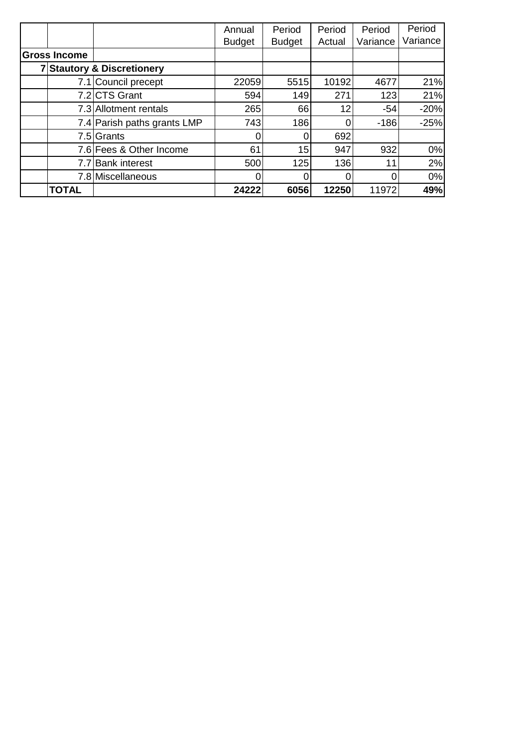|                     |                                       | Annual        | Period        | Period | Period   | Period   |
|---------------------|---------------------------------------|---------------|---------------|--------|----------|----------|
|                     |                                       | <b>Budget</b> | <b>Budget</b> | Actual | Variance | Variance |
| <b>Gross Income</b> |                                       |               |               |        |          |          |
|                     | <b>7 Stautory &amp; Discretionery</b> |               |               |        |          |          |
|                     | 7.1 Council precept                   | 22059         | 5515          | 10192  | 4677     | 21%      |
|                     | 7.2 CTS Grant                         | 594           | 149           | 271    | 123      | 21%      |
|                     | 7.3 Allotment rentals                 | 265           | 66            | 12     | $-54$    | $-20%$   |
|                     | 7.4 Parish paths grants LMP           | 743           | 186           |        | $-186$   | $-25%$   |
|                     | 7.5 Grants                            |               |               | 692    |          |          |
|                     | 7.6 Fees & Other Income               | 61            | 15            | 947    | 932      | 0%       |
|                     | 7.7 Bank interest                     | 500           | 125           | 136    | 11       | 2%       |
|                     | 7.8 Miscellaneous                     |               |               |        | 0        | 0%       |
| <b>TOTAL</b>        |                                       | 24222         | 6056          | 12250  | 11972    | 49%      |